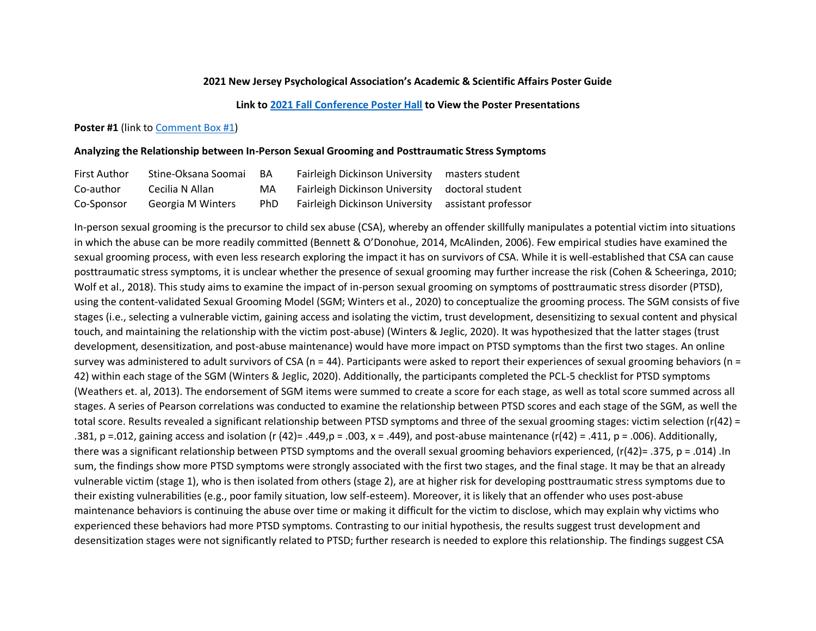# **2021 New Jersey Psychological Association's Academic & Scientific Affairs Poster Guide**

### **Link to [2021 Fall Conference Poster Hall](https://www.psychologynj.org/fall-conference-poster-2021) to View the Poster Presentations**

# Poster #1 (link to [Comment Box #1\)](https://njpa.memberclicks.net/poster-1-comment-box)

# **Analyzing the Relationship between In-Person Sexual Grooming and Posttraumatic Stress Symptoms**

| <b>First Author</b> | Stine-Oksana Soomai | BA   | Fairleigh Dickinson University masters student     |  |
|---------------------|---------------------|------|----------------------------------------------------|--|
| Co-author           | Cecilia N Allan     | MA.  | Fairleigh Dickinson University doctoral student    |  |
| Co-Sponsor          | Georgia M Winters   | PhD. | Fairleigh Dickinson University assistant professor |  |

In-person sexual grooming is the precursor to child sex abuse (CSA), whereby an offender skillfully manipulates a potential victim into situations in which the abuse can be more readily committed (Bennett & O'Donohue, 2014, McAlinden, 2006). Few empirical studies have examined the sexual grooming process, with even less research exploring the impact it has on survivors of CSA. While it is well-established that CSA can cause posttraumatic stress symptoms, it is unclear whether the presence of sexual grooming may further increase the risk (Cohen & Scheeringa, 2010; Wolf et al., 2018). This study aims to examine the impact of in-person sexual grooming on symptoms of posttraumatic stress disorder (PTSD), using the content-validated Sexual Grooming Model (SGM; Winters et al., 2020) to conceptualize the grooming process. The SGM consists of five stages (i.e., selecting a vulnerable victim, gaining access and isolating the victim, trust development, desensitizing to sexual content and physical touch, and maintaining the relationship with the victim post-abuse) (Winters & Jeglic, 2020). It was hypothesized that the latter stages (trust development, desensitization, and post-abuse maintenance) would have more impact on PTSD symptoms than the first two stages. An online survey was administered to adult survivors of CSA ( $n = 44$ ). Participants were asked to report their experiences of sexual grooming behaviors ( $n =$ 42) within each stage of the SGM (Winters & Jeglic, 2020). Additionally, the participants completed the PCL-5 checklist for PTSD symptoms (Weathers et. al, 2013). The endorsement of SGM items were summed to create a score for each stage, as well as total score summed across all stages. A series of Pearson correlations was conducted to examine the relationship between PTSD scores and each stage of the SGM, as well the total score. Results revealed a significant relationship between PTSD symptoms and three of the sexual grooming stages: victim selection (r(42) = .381, p =.012, gaining access and isolation (r (42)= .449,p = .003, x = .449), and post-abuse maintenance (r(42) = .411, p = .006). Additionally, there was a significant relationship between PTSD symptoms and the overall sexual grooming behaviors experienced, (r(42)= .375, p = .014) .In sum, the findings show more PTSD symptoms were strongly associated with the first two stages, and the final stage. It may be that an already vulnerable victim (stage 1), who is then isolated from others (stage 2), are at higher risk for developing posttraumatic stress symptoms due to their existing vulnerabilities (e.g., poor family situation, low self-esteem). Moreover, it is likely that an offender who uses post-abuse maintenance behaviors is continuing the abuse over time or making it difficult for the victim to disclose, which may explain why victims who experienced these behaviors had more PTSD symptoms. Contrasting to our initial hypothesis, the results suggest trust development and desensitization stages were not significantly related to PTSD; further research is needed to explore this relationship. The findings suggest CSA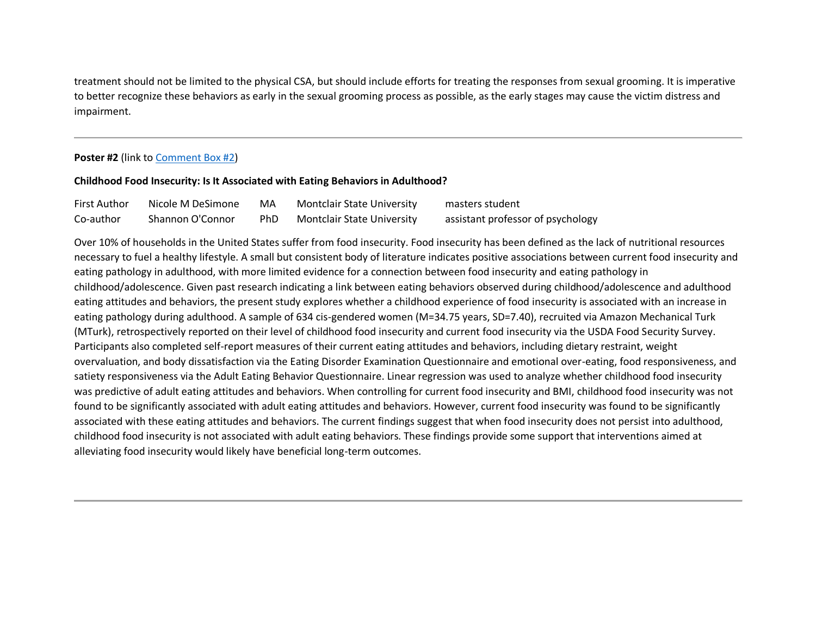treatment should not be limited to the physical CSA, but should include efforts for treating the responses from sexual grooming. It is imperative to better recognize these behaviors as early in the sexual grooming process as possible, as the early stages may cause the victim distress and impairment.

# **Poster #2** (link to [Comment Box #2\)](https://njpa.memberclicks.net/poster-2-comment-box)

# **Childhood Food Insecurity: Is It Associated with Eating Behaviors in Adulthood?**

| <b>First Author</b> | Nicole M DeSimone | MA   | <b>Montclair State University</b> | masters student                   |
|---------------------|-------------------|------|-----------------------------------|-----------------------------------|
| Co-author           | Shannon O'Connor  | PhD. | <b>Montclair State University</b> | assistant professor of psychology |

Over 10% of households in the United States suffer from food insecurity. Food insecurity has been defined as the lack of nutritional resources necessary to fuel a healthy lifestyle. A small but consistent body of literature indicates positive associations between current food insecurity and eating pathology in adulthood, with more limited evidence for a connection between food insecurity and eating pathology in childhood/adolescence. Given past research indicating a link between eating behaviors observed during childhood/adolescence and adulthood eating attitudes and behaviors, the present study explores whether a childhood experience of food insecurity is associated with an increase in eating pathology during adulthood. A sample of 634 cis-gendered women (M=34.75 years, SD=7.40), recruited via Amazon Mechanical Turk (MTurk), retrospectively reported on their level of childhood food insecurity and current food insecurity via the USDA Food Security Survey. Participants also completed self-report measures of their current eating attitudes and behaviors, including dietary restraint, weight overvaluation, and body dissatisfaction via the Eating Disorder Examination Questionnaire and emotional over-eating, food responsiveness, and satiety responsiveness via the Adult Eating Behavior Questionnaire. Linear regression was used to analyze whether childhood food insecurity was predictive of adult eating attitudes and behaviors. When controlling for current food insecurity and BMI, childhood food insecurity was not found to be significantly associated with adult eating attitudes and behaviors. However, current food insecurity was found to be significantly associated with these eating attitudes and behaviors. The current findings suggest that when food insecurity does not persist into adulthood, childhood food insecurity is not associated with adult eating behaviors. These findings provide some support that interventions aimed at alleviating food insecurity would likely have beneficial long-term outcomes.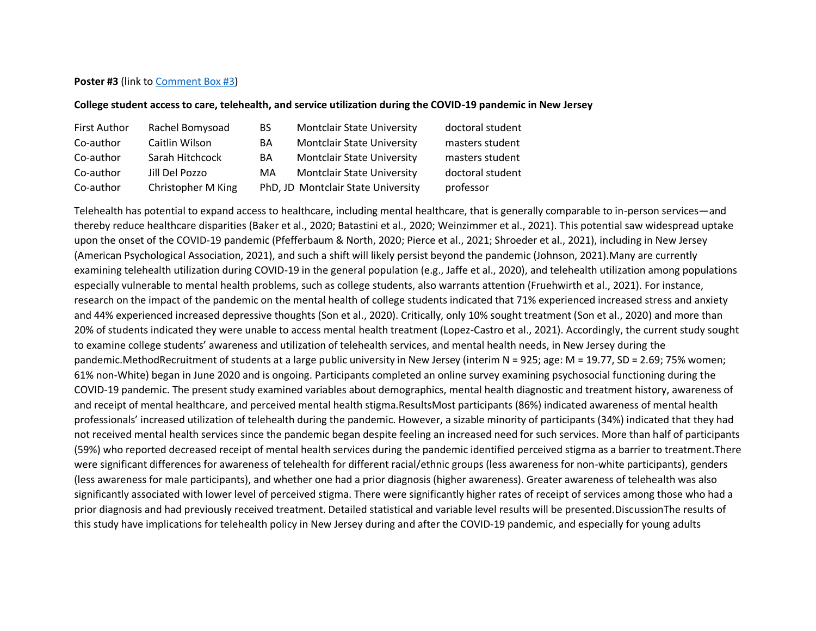# **Poster #3** (link to [Comment Box #3\)](https://njpa.memberclicks.net/poster-3-comment-box)

# **College student access to care, telehealth, and service utilization during the COVID-19 pandemic in New Jersey**

| <b>First Author</b> | Rachel Bomysoad    | <b>BS</b> | <b>Montclair State University</b>  | doctoral student |
|---------------------|--------------------|-----------|------------------------------------|------------------|
| Co-author           | Caitlin Wilson     | <b>BA</b> | <b>Montclair State University</b>  | masters student  |
| Co-author           | Sarah Hitchcock    | BA        | <b>Montclair State University</b>  | masters student  |
| Co-author           | Jill Del Pozzo     | MA        | <b>Montclair State University</b>  | doctoral student |
| Co-author           | Christopher M King |           | PhD, JD Montclair State University | professor        |

Telehealth has potential to expand access to healthcare, including mental healthcare, that is generally comparable to in-person services—and thereby reduce healthcare disparities (Baker et al., 2020; Batastini et al., 2020; Weinzimmer et al., 2021). This potential saw widespread uptake upon the onset of the COVID-19 pandemic (Pfefferbaum & North, 2020; Pierce et al., 2021; Shroeder et al., 2021), including in New Jersey (American Psychological Association, 2021), and such a shift will likely persist beyond the pandemic (Johnson, 2021).Many are currently examining telehealth utilization during COVID-19 in the general population (e.g., Jaffe et al., 2020), and telehealth utilization among populations especially vulnerable to mental health problems, such as college students, also warrants attention (Fruehwirth et al., 2021). For instance, research on the impact of the pandemic on the mental health of college students indicated that 71% experienced increased stress and anxiety and 44% experienced increased depressive thoughts (Son et al., 2020). Critically, only 10% sought treatment (Son et al., 2020) and more than 20% of students indicated they were unable to access mental health treatment (Lopez-Castro et al., 2021). Accordingly, the current study sought to examine college students' awareness and utilization of telehealth services, and mental health needs, in New Jersey during the pandemic.MethodRecruitment of students at a large public university in New Jersey (interim N = 925; age: M = 19.77, SD = 2.69; 75% women; 61% non-White) began in June 2020 and is ongoing. Participants completed an online survey examining psychosocial functioning during the COVID-19 pandemic. The present study examined variables about demographics, mental health diagnostic and treatment history, awareness of and receipt of mental healthcare, and perceived mental health stigma.ResultsMost participants (86%) indicated awareness of mental health professionals' increased utilization of telehealth during the pandemic. However, a sizable minority of participants (34%) indicated that they had not received mental health services since the pandemic began despite feeling an increased need for such services. More than half of participants (59%) who reported decreased receipt of mental health services during the pandemic identified perceived stigma as a barrier to treatment.There were significant differences for awareness of telehealth for different racial/ethnic groups (less awareness for non-white participants), genders (less awareness for male participants), and whether one had a prior diagnosis (higher awareness). Greater awareness of telehealth was also significantly associated with lower level of perceived stigma. There were significantly higher rates of receipt of services among those who had a prior diagnosis and had previously received treatment. Detailed statistical and variable level results will be presented.DiscussionThe results of this study have implications for telehealth policy in New Jersey during and after the COVID-19 pandemic, and especially for young adults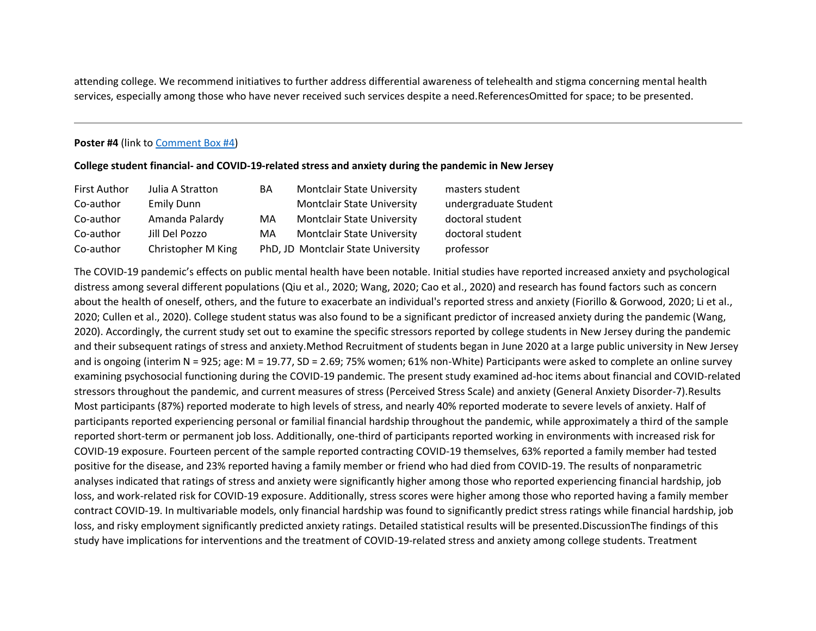attending college. We recommend initiatives to further address differential awareness of telehealth and stigma concerning mental health services, especially among those who have never received such services despite a need.ReferencesOmitted for space; to be presented.

# **Poster #4** (link to [Comment Box #4\)](https://njpa.memberclicks.net/poster-4-comment-box)

#### **College student financial- and COVID-19-related stress and anxiety during the pandemic in New Jersey**

| <b>First Author</b> | Julia A Stratton   | <b>BA</b> | <b>Montclair State University</b>  | masters student       |
|---------------------|--------------------|-----------|------------------------------------|-----------------------|
| Co-author           | <b>Emily Dunn</b>  |           | <b>Montclair State University</b>  | undergraduate Student |
| Co-author           | Amanda Palardy     | MA        | <b>Montclair State University</b>  | doctoral student      |
| Co-author           | Jill Del Pozzo     | MA.       | <b>Montclair State University</b>  | doctoral student      |
| Co-author           | Christopher M King |           | PhD, JD Montclair State University | professor             |

The COVID-19 pandemic's effects on public mental health have been notable. Initial studies have reported increased anxiety and psychological distress among several different populations (Qiu et al., 2020; Wang, 2020; Cao et al., 2020) and research has found factors such as concern about the health of oneself, others, and the future to exacerbate an individual's reported stress and anxiety (Fiorillo & Gorwood, 2020; Li et al., 2020; Cullen et al., 2020). College student status was also found to be a significant predictor of increased anxiety during the pandemic (Wang, 2020). Accordingly, the current study set out to examine the specific stressors reported by college students in New Jersey during the pandemic and their subsequent ratings of stress and anxiety.Method Recruitment of students began in June 2020 at a large public university in New Jersey and is ongoing (interim N = 925; age: M = 19.77, SD = 2.69; 75% women; 61% non-White) Participants were asked to complete an online survey examining psychosocial functioning during the COVID-19 pandemic. The present study examined ad-hoc items about financial and COVID-related stressors throughout the pandemic, and current measures of stress (Perceived Stress Scale) and anxiety (General Anxiety Disorder-7).Results Most participants (87%) reported moderate to high levels of stress, and nearly 40% reported moderate to severe levels of anxiety. Half of participants reported experiencing personal or familial financial hardship throughout the pandemic, while approximately a third of the sample reported short-term or permanent job loss. Additionally, one-third of participants reported working in environments with increased risk for COVID-19 exposure. Fourteen percent of the sample reported contracting COVID-19 themselves, 63% reported a family member had tested positive for the disease, and 23% reported having a family member or friend who had died from COVID-19. The results of nonparametric analyses indicated that ratings of stress and anxiety were significantly higher among those who reported experiencing financial hardship, job loss, and work-related risk for COVID-19 exposure. Additionally, stress scores were higher among those who reported having a family member contract COVID-19. In multivariable models, only financial hardship was found to significantly predict stress ratings while financial hardship, job loss, and risky employment significantly predicted anxiety ratings. Detailed statistical results will be presented.DiscussionThe findings of this study have implications for interventions and the treatment of COVID-19-related stress and anxiety among college students. Treatment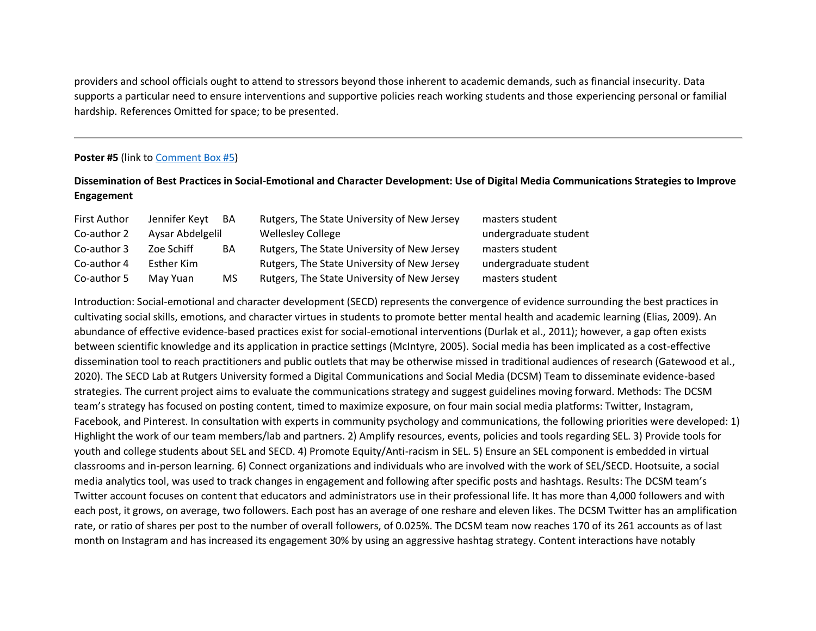providers and school officials ought to attend to stressors beyond those inherent to academic demands, such as financial insecurity. Data supports a particular need to ensure interventions and supportive policies reach working students and those experiencing personal or familial hardship. References Omitted for space; to be presented.

# **Poster #5** (link to [Comment Box #5\)](https://njpa.memberclicks.net/poster-5-comment-box)

# **Dissemination of Best Practices in Social-Emotional and Character Development: Use of Digital Media Communications Strategies to Improve Engagement**

| <b>First Author</b> | Jennifer Keyt    | BA | Rutgers, The State University of New Jersey | masters student       |
|---------------------|------------------|----|---------------------------------------------|-----------------------|
| Co-author 2         | Aysar Abdelgelil |    | <b>Wellesley College</b>                    | undergraduate student |
| Co-author 3         | Zoe Schiff       | BA | Rutgers, The State University of New Jersey | masters student       |
| Co-author 4         | Esther Kim       |    | Rutgers, The State University of New Jersey | undergraduate student |
| Co-author 5         | May Yuan         | MS | Rutgers, The State University of New Jersey | masters student       |

Introduction: Social-emotional and character development (SECD) represents the convergence of evidence surrounding the best practices in cultivating social skills, emotions, and character virtues in students to promote better mental health and academic learning (Elias, 2009). An abundance of effective evidence-based practices exist for social-emotional interventions (Durlak et al., 2011); however, a gap often exists between scientific knowledge and its application in practice settings (McIntyre, 2005). Social media has been implicated as a cost-effective dissemination tool to reach practitioners and public outlets that may be otherwise missed in traditional audiences of research (Gatewood et al., 2020). The SECD Lab at Rutgers University formed a Digital Communications and Social Media (DCSM) Team to disseminate evidence-based strategies. The current project aims to evaluate the communications strategy and suggest guidelines moving forward. Methods: The DCSM team's strategy has focused on posting content, timed to maximize exposure, on four main social media platforms: Twitter, Instagram, Facebook, and Pinterest. In consultation with experts in community psychology and communications, the following priorities were developed: 1) Highlight the work of our team members/lab and partners. 2) Amplify resources, events, policies and tools regarding SEL. 3) Provide tools for youth and college students about SEL and SECD. 4) Promote Equity/Anti-racism in SEL. 5) Ensure an SEL component is embedded in virtual classrooms and in-person learning. 6) Connect organizations and individuals who are involved with the work of SEL/SECD. Hootsuite, a social media analytics tool, was used to track changes in engagement and following after specific posts and hashtags. Results: The DCSM team's Twitter account focuses on content that educators and administrators use in their professional life. It has more than 4,000 followers and with each post, it grows, on average, two followers. Each post has an average of one reshare and eleven likes. The DCSM Twitter has an amplification rate, or ratio of shares per post to the number of overall followers, of 0.025%. The DCSM team now reaches 170 of its 261 accounts as of last month on Instagram and has increased its engagement 30% by using an aggressive hashtag strategy. Content interactions have notably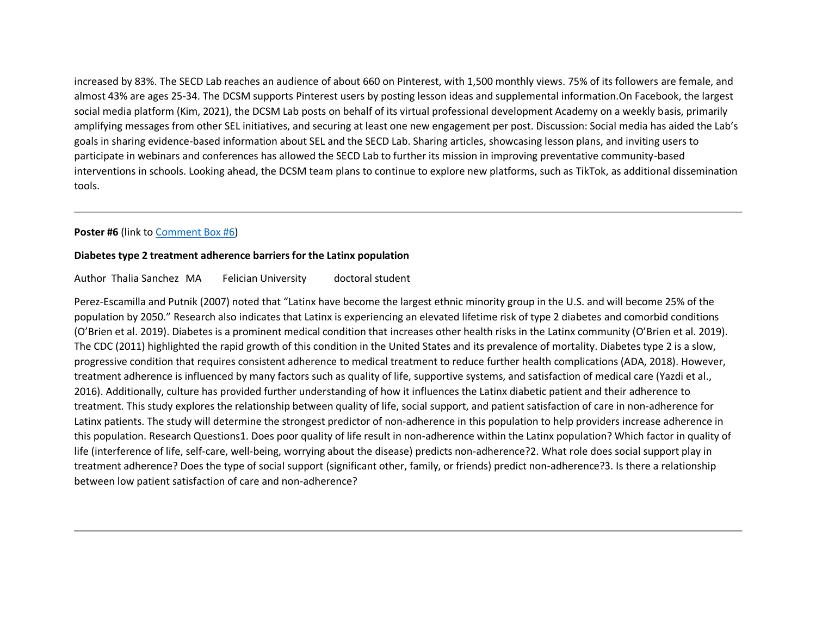increased by 83%. The SECD Lab reaches an audience of about 660 on Pinterest, with 1,500 monthly views. 75% of its followers are female, and almost 43% are ages 25-34. The DCSM supports Pinterest users by posting lesson ideas and supplemental information.On Facebook, the largest social media platform (Kim, 2021), the DCSM Lab posts on behalf of its virtual professional development Academy on a weekly basis, primarily amplifying messages from other SEL initiatives, and securing at least one new engagement per post. Discussion: Social media has aided the Lab's goals in sharing evidence-based information about SEL and the SECD Lab. Sharing articles, showcasing lesson plans, and inviting users to participate in webinars and conferences has allowed the SECD Lab to further its mission in improving preventative community-based interventions in schools. Looking ahead, the DCSM team plans to continue to explore new platforms, such as TikTok, as additional dissemination tools.

# **Poster #6** (link to [Comment Box #6\)](https://njpa.memberclicks.net/poster-6-comment-box)

### **Diabetes type 2 treatment adherence barriers for the Latinx population**

# Author Thalia Sanchez MA Felician University doctoral student

Perez-Escamilla and Putnik (2007) noted that "Latinx have become the largest ethnic minority group in the U.S. and will become 25% of the population by 2050." Research also indicates that Latinx is experiencing an elevated lifetime risk of type 2 diabetes and comorbid conditions (O'Brien et al. 2019). Diabetes is a prominent medical condition that increases other health risks in the Latinx community (O'Brien et al. 2019). The CDC (2011) highlighted the rapid growth of this condition in the United States and its prevalence of mortality. Diabetes type 2 is a slow, progressive condition that requires consistent adherence to medical treatment to reduce further health complications (ADA, 2018). However, treatment adherence is influenced by many factors such as quality of life, supportive systems, and satisfaction of medical care (Yazdi et al., 2016). Additionally, culture has provided further understanding of how it influences the Latinx diabetic patient and their adherence to treatment. This study explores the relationship between quality of life, social support, and patient satisfaction of care in non-adherence for Latinx patients. The study will determine the strongest predictor of non-adherence in this population to help providers increase adherence in this population. Research Questions1. Does poor quality of life result in non-adherence within the Latinx population? Which factor in quality of life (interference of life, self-care, well-being, worrying about the disease) predicts non-adherence?2. What role does social support play in treatment adherence? Does the type of social support (significant other, family, or friends) predict non-adherence?3. Is there a relationship between low patient satisfaction of care and non-adherence?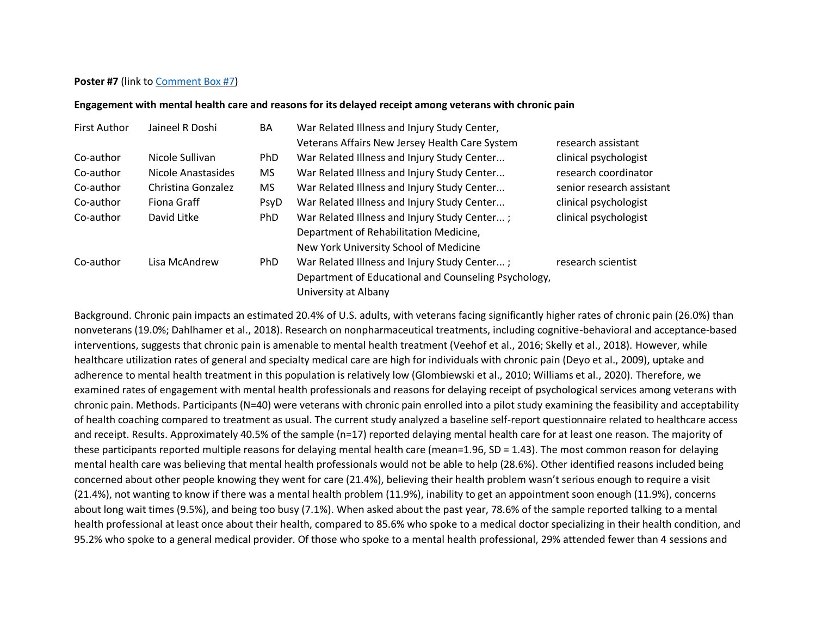# **Poster #7** (link to [Comment Box #7\)](https://njpa.memberclicks.net/poster-7-comment-box)

# **Engagement with mental health care and reasons for its delayed receipt among veterans with chronic pain**

| <b>First Author</b> | Jaineel R Doshi    | BA         | War Related Illness and Injury Study Center,         |                           |
|---------------------|--------------------|------------|------------------------------------------------------|---------------------------|
|                     |                    |            | Veterans Affairs New Jersey Health Care System       | research assistant        |
| Co-author           | Nicole Sullivan    | PhD        | War Related Illness and Injury Study Center          | clinical psychologist     |
| Co-author           | Nicole Anastasides | MS.        | War Related Illness and Injury Study Center          | research coordinator      |
| Co-author           | Christina Gonzalez | MS         | War Related Illness and Injury Study Center          | senior research assistant |
| Co-author           | Fiona Graff        | PsyD       | War Related Illness and Injury Study Center          | clinical psychologist     |
| Co-author           | David Litke        | <b>PhD</b> | War Related Illness and Injury Study Center;         | clinical psychologist     |
|                     |                    |            | Department of Rehabilitation Medicine,               |                           |
|                     |                    |            | New York University School of Medicine               |                           |
| Co-author           | Lisa McAndrew      | <b>PhD</b> | War Related Illness and Injury Study Center;         | research scientist        |
|                     |                    |            | Department of Educational and Counseling Psychology, |                           |
|                     |                    |            | University at Albany                                 |                           |

Background. Chronic pain impacts an estimated 20.4% of U.S. adults, with veterans facing significantly higher rates of chronic pain (26.0%) than nonveterans (19.0%; Dahlhamer et al., 2018). Research on nonpharmaceutical treatments, including cognitive-behavioral and acceptance-based interventions, suggests that chronic pain is amenable to mental health treatment (Veehof et al., 2016; Skelly et al., 2018). However, while healthcare utilization rates of general and specialty medical care are high for individuals with chronic pain (Deyo et al., 2009), uptake and adherence to mental health treatment in this population is relatively low (Glombiewski et al., 2010; Williams et al., 2020). Therefore, we examined rates of engagement with mental health professionals and reasons for delaying receipt of psychological services among veterans with chronic pain. Methods. Participants (N=40) were veterans with chronic pain enrolled into a pilot study examining the feasibility and acceptability of health coaching compared to treatment as usual. The current study analyzed a baseline self-report questionnaire related to healthcare access and receipt. Results. Approximately 40.5% of the sample (n=17) reported delaying mental health care for at least one reason. The majority of these participants reported multiple reasons for delaying mental health care (mean=1.96, SD = 1.43). The most common reason for delaying mental health care was believing that mental health professionals would not be able to help (28.6%). Other identified reasons included being concerned about other people knowing they went for care (21.4%), believing their health problem wasn't serious enough to require a visit (21.4%), not wanting to know if there was a mental health problem (11.9%), inability to get an appointment soon enough (11.9%), concerns about long wait times (9.5%), and being too busy (7.1%). When asked about the past year, 78.6% of the sample reported talking to a mental health professional at least once about their health, compared to 85.6% who spoke to a medical doctor specializing in their health condition, and 95.2% who spoke to a general medical provider. Of those who spoke to a mental health professional, 29% attended fewer than 4 sessions and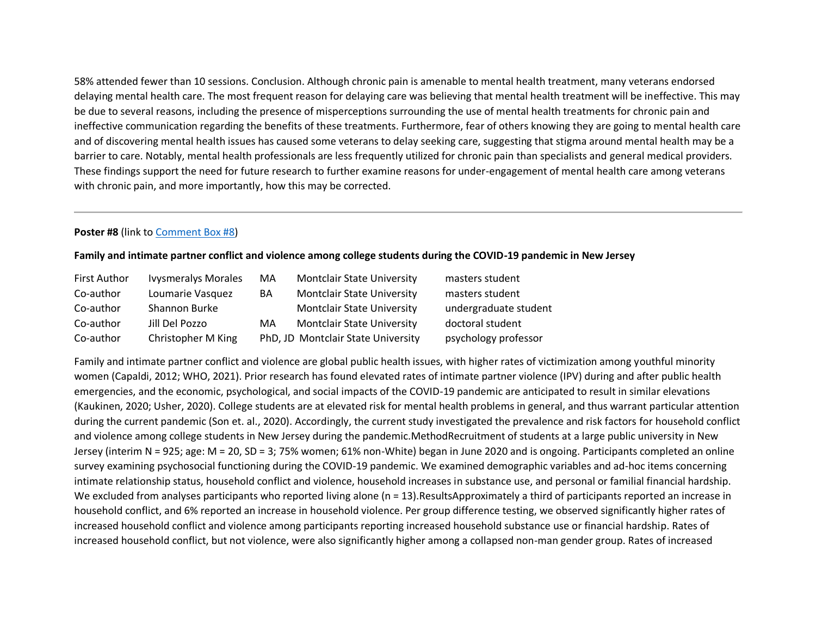58% attended fewer than 10 sessions. Conclusion. Although chronic pain is amenable to mental health treatment, many veterans endorsed delaying mental health care. The most frequent reason for delaying care was believing that mental health treatment will be ineffective. This may be due to several reasons, including the presence of misperceptions surrounding the use of mental health treatments for chronic pain and ineffective communication regarding the benefits of these treatments. Furthermore, fear of others knowing they are going to mental health care and of discovering mental health issues has caused some veterans to delay seeking care, suggesting that stigma around mental health may be a barrier to care. Notably, mental health professionals are less frequently utilized for chronic pain than specialists and general medical providers. These findings support the need for future research to further examine reasons for under-engagement of mental health care among veterans with chronic pain, and more importantly, how this may be corrected.

# **Poster #8** (link to [Comment Box #8\)](https://njpa.memberclicks.net/poster-8-comment-box)

#### **Family and intimate partner conflict and violence among college students during the COVID-19 pandemic in New Jersey**

| <b>First Author</b> | <b>Ivysmeralys Morales</b> | MA | <b>Montclair State University</b>  | masters student       |
|---------------------|----------------------------|----|------------------------------------|-----------------------|
| Co-author           | Loumarie Vasquez           | BA | <b>Montclair State University</b>  | masters student       |
| Co-author           | Shannon Burke              |    | <b>Montclair State University</b>  | undergraduate student |
| Co-author           | Jill Del Pozzo             | MA | <b>Montclair State University</b>  | doctoral student      |
| Co-author           | Christopher M King         |    | PhD, JD Montclair State University | psychology professor  |

Family and intimate partner conflict and violence are global public health issues, with higher rates of victimization among youthful minority women (Capaldi, 2012; WHO, 2021). Prior research has found elevated rates of intimate partner violence (IPV) during and after public health emergencies, and the economic, psychological, and social impacts of the COVID-19 pandemic are anticipated to result in similar elevations (Kaukinen, 2020; Usher, 2020). College students are at elevated risk for mental health problems in general, and thus warrant particular attention during the current pandemic (Son et. al., 2020). Accordingly, the current study investigated the prevalence and risk factors for household conflict and violence among college students in New Jersey during the pandemic.MethodRecruitment of students at a large public university in New Jersey (interim N = 925; age: M = 20, SD = 3; 75% women; 61% non-White) began in June 2020 and is ongoing. Participants completed an online survey examining psychosocial functioning during the COVID-19 pandemic. We examined demographic variables and ad-hoc items concerning intimate relationship status, household conflict and violence, household increases in substance use, and personal or familial financial hardship. We excluded from analyses participants who reported living alone (n = 13).ResultsApproximately a third of participants reported an increase in household conflict, and 6% reported an increase in household violence. Per group difference testing, we observed significantly higher rates of increased household conflict and violence among participants reporting increased household substance use or financial hardship. Rates of increased household conflict, but not violence, were also significantly higher among a collapsed non-man gender group. Rates of increased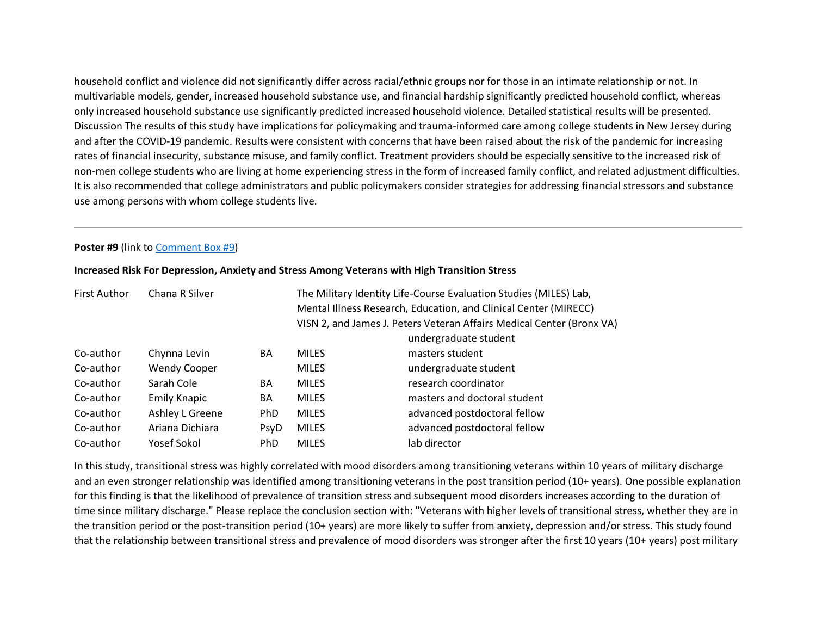household conflict and violence did not significantly differ across racial/ethnic groups nor for those in an intimate relationship or not. In multivariable models, gender, increased household substance use, and financial hardship significantly predicted household conflict, whereas only increased household substance use significantly predicted increased household violence. Detailed statistical results will be presented. Discussion The results of this study have implications for policymaking and trauma-informed care among college students in New Jersey during and after the COVID-19 pandemic. Results were consistent with concerns that have been raised about the risk of the pandemic for increasing rates of financial insecurity, substance misuse, and family conflict. Treatment providers should be especially sensitive to the increased risk of non-men college students who are living at home experiencing stress in the form of increased family conflict, and related adjustment difficulties. It is also recommended that college administrators and public policymakers consider strategies for addressing financial stressors and substance use among persons with whom college students live.

# **Poster #9** (link to [Comment Box #9\)](https://njpa.memberclicks.net/poster-9-comment-box)

| Chana R Silver<br><b>First Author</b> |                     | The Military Identity Life-Course Evaluation Studies (MILES) Lab,<br>Mental Illness Research, Education, and Clinical Center (MIRECC) |              |                                                                                                |
|---------------------------------------|---------------------|---------------------------------------------------------------------------------------------------------------------------------------|--------------|------------------------------------------------------------------------------------------------|
|                                       |                     |                                                                                                                                       |              | VISN 2, and James J. Peters Veteran Affairs Medical Center (Bronx VA)<br>undergraduate student |
| Co-author                             | Chynna Levin        | BA                                                                                                                                    | <b>MILES</b> | masters student                                                                                |
| Co-author                             | <b>Wendy Cooper</b> |                                                                                                                                       | <b>MILES</b> | undergraduate student                                                                          |
| Co-author                             | Sarah Cole          | BA                                                                                                                                    | <b>MILES</b> | research coordinator                                                                           |
| Co-author                             | <b>Emily Knapic</b> | BA                                                                                                                                    | <b>MILES</b> | masters and doctoral student                                                                   |
| Co-author                             | Ashley L Greene     | PhD                                                                                                                                   | <b>MILES</b> | advanced postdoctoral fellow                                                                   |
| Co-author                             | Ariana Dichiara     | PsyD                                                                                                                                  | <b>MILES</b> | advanced postdoctoral fellow                                                                   |
| Co-author                             | Yosef Sokol         | PhD.                                                                                                                                  | <b>MILES</b> | lab director                                                                                   |

#### **Increased Risk For Depression, Anxiety and Stress Among Veterans with High Transition Stress**

In this study, transitional stress was highly correlated with mood disorders among transitioning veterans within 10 years of military discharge and an even stronger relationship was identified among transitioning veterans in the post transition period (10+ years). One possible explanation for this finding is that the likelihood of prevalence of transition stress and subsequent mood disorders increases according to the duration of time since military discharge." Please replace the conclusion section with: "Veterans with higher levels of transitional stress, whether they are in the transition period or the post-transition period (10+ years) are more likely to suffer from anxiety, depression and/or stress. This study found that the relationship between transitional stress and prevalence of mood disorders was stronger after the first 10 years (10+ years) post military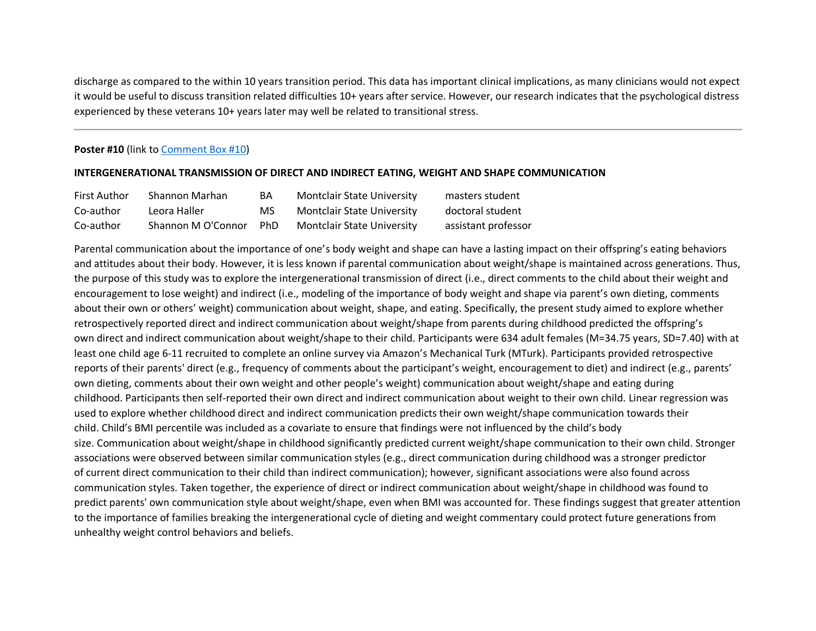discharge as compared to the within 10 years transition period. This data has important clinical implications, as many clinicians would not expect it would be useful to discuss transition related difficulties 10+ years after service. However, our research indicates that the psychological distress experienced by these veterans 10+ years later may well be related to transitional stress.

# **Poster #10** (link t[o Comment Box #10\)](https://njpa.memberclicks.net/poster-10-comment-box)

### **INTERGENERATIONAL TRANSMISSION OF DIRECT AND INDIRECT EATING, WEIGHT AND SHAPE COMMUNICATION**

| <b>First Author</b> | Shannon Marhan     | BA    | <b>Montclair State University</b> | masters student     |
|---------------------|--------------------|-------|-----------------------------------|---------------------|
| Co-author           | Leora Haller       | MS    | <b>Montclair State University</b> | doctoral student    |
| Co-author           | Shannon M O'Connor | – PhD | <b>Montclair State University</b> | assistant professor |

Parental communication about the importance of one's body weight and shape can have a lasting impact on their offspring's eating behaviors and attitudes about their body. However, it is less known if parental communication about weight/shape is maintained across generations. Thus, the purpose of this study was to explore the intergenerational transmission of direct (i.e., direct comments to the child about their weight and encouragement to lose weight) and indirect (i.e., modeling of the importance of body weight and shape via parent's own dieting, comments about their own or others' weight) communication about weight, shape, and eating. Specifically, the present study aimed to explore whether retrospectively reported direct and indirect communication about weight/shape from parents during childhood predicted the offspring's own direct and indirect communication about weight/shape to their child. Participants were 634 adult females (M=34.75 years, SD=7.40) with at least one child age 6-11 recruited to complete an online survey via Amazon's Mechanical Turk (MTurk). Participants provided retrospective reports of their parents' direct (e.g., frequency of comments about the participant's weight, encouragement to diet) and indirect (e.g., parents' own dieting, comments about their own weight and other people's weight) communication about weight/shape and eating during childhood. Participants then self-reported their own direct and indirect communication about weight to their own child. Linear regression was used to explore whether childhood direct and indirect communication predicts their own weight/shape communication towards their child. Child's BMI percentile was included as a covariate to ensure that findings were not influenced by the child's body size. Communication about weight/shape in childhood significantly predicted current weight/shape communication to their own child. Stronger associations were observed between similar communication styles (e.g., direct communication during childhood was a stronger predictor of current direct communication to their child than indirect communication); however, significant associations were also found across communication styles. Taken together, the experience of direct or indirect communication about weight/shape in childhood was found to predict parents' own communication style about weight/shape, even when BMI was accounted for. These findings suggest that greater attention to the importance of families breaking the intergenerational cycle of dieting and weight commentary could protect future generations from unhealthy weight control behaviors and beliefs.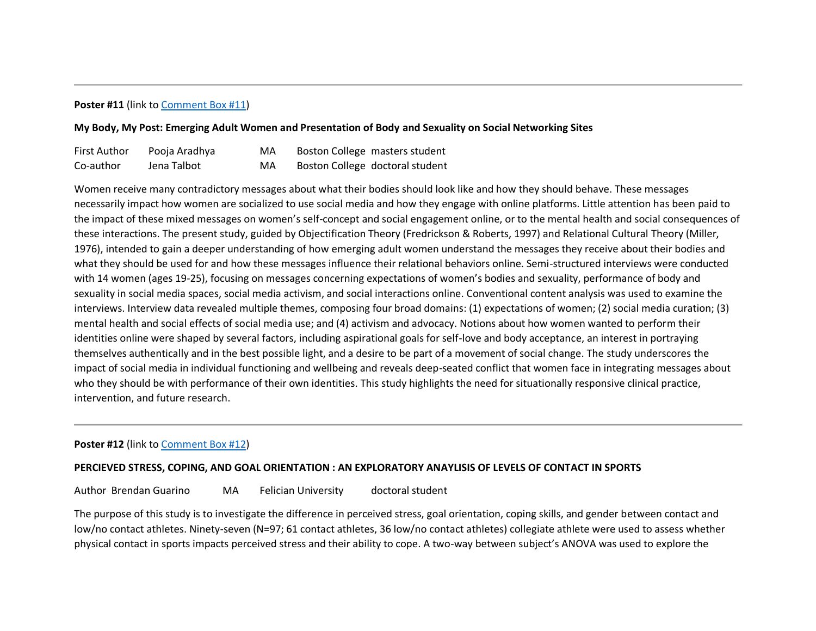# **Poster #11** (link t[o Comment Box #11\)](https://njpa.memberclicks.net/poster-11-comment-box)

# **My Body, My Post: Emerging Adult Women and Presentation of Body and Sexuality on Social Networking Sites**

| <b>First Author</b> | Pooja Aradhya | MA | Boston College masters student  |
|---------------------|---------------|----|---------------------------------|
| Co-author           | Jena Talbot   | MA | Boston College doctoral student |

Women receive many contradictory messages about what their bodies should look like and how they should behave. These messages necessarily impact how women are socialized to use social media and how they engage with online platforms. Little attention has been paid to the impact of these mixed messages on women's self-concept and social engagement online, or to the mental health and social consequences of these interactions. The present study, guided by Objectification Theory (Fredrickson & Roberts, 1997) and Relational Cultural Theory (Miller, 1976), intended to gain a deeper understanding of how emerging adult women understand the messages they receive about their bodies and what they should be used for and how these messages influence their relational behaviors online. Semi-structured interviews were conducted with 14 women (ages 19-25), focusing on messages concerning expectations of women's bodies and sexuality, performance of body and sexuality in social media spaces, social media activism, and social interactions online. Conventional content analysis was used to examine the interviews. Interview data revealed multiple themes, composing four broad domains: (1) expectations of women; (2) social media curation; (3) mental health and social effects of social media use; and (4) activism and advocacy. Notions about how women wanted to perform their identities online were shaped by several factors, including aspirational goals for self-love and body acceptance, an interest in portraying themselves authentically and in the best possible light, and a desire to be part of a movement of social change. The study underscores the impact of social media in individual functioning and wellbeing and reveals deep-seated conflict that women face in integrating messages about who they should be with performance of their own identities. This study highlights the need for situationally responsive clinical practice, intervention, and future research.

# **Poster #12** (link t[o Comment Box #12\)](https://njpa.memberclicks.net/poster-12-comment-box)

# **PERCIEVED STRESS, COPING, AND GOAL ORIENTATION : AN EXPLORATORY ANAYLISIS OF LEVELS OF CONTACT IN SPORTS**

Author Brendan Guarino MA Felician University doctoral student

The purpose of this study is to investigate the difference in perceived stress, goal orientation, coping skills, and gender between contact and low/no contact athletes. Ninety-seven (N=97; 61 contact athletes, 36 low/no contact athletes) collegiate athlete were used to assess whether physical contact in sports impacts perceived stress and their ability to cope. A two-way between subject's ANOVA was used to explore the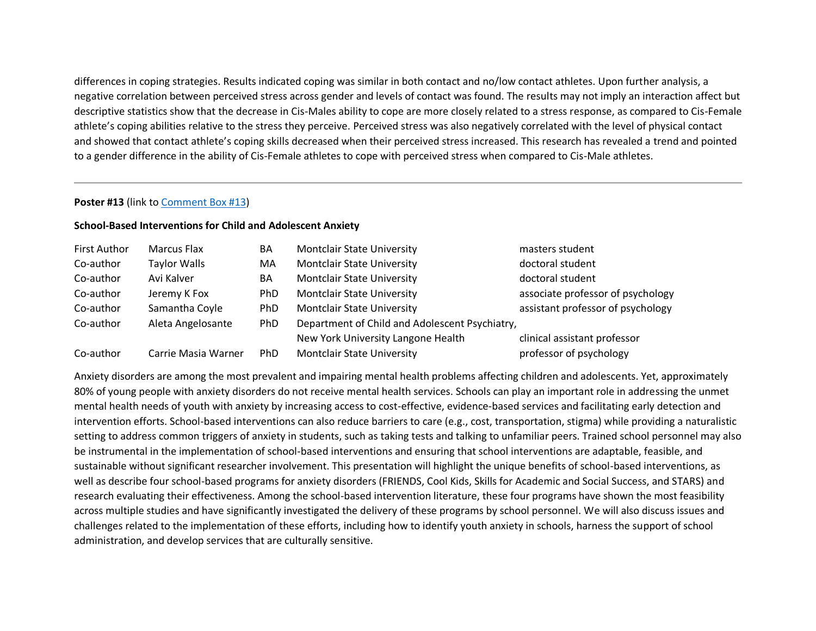differences in coping strategies. Results indicated coping was similar in both contact and no/low contact athletes. Upon further analysis, a negative correlation between perceived stress across gender and levels of contact was found. The results may not imply an interaction affect but descriptive statistics show that the decrease in Cis-Males ability to cope are more closely related to a stress response, as compared to Cis-Female athlete's coping abilities relative to the stress they perceive. Perceived stress was also negatively correlated with the level of physical contact and showed that contact athlete's coping skills decreased when their perceived stress increased. This research has revealed a trend and pointed to a gender difference in the ability of Cis-Female athletes to cope with perceived stress when compared to Cis-Male athletes.

### **Poster #13** (link t[o Comment Box #13\)](https://njpa.memberclicks.net/poster-13-comment-box)

# **School-Based Interventions for Child and Adolescent Anxiety**

| <b>First Author</b> | Marcus Flax         | BA         | <b>Montclair State University</b>              | masters student                   |
|---------------------|---------------------|------------|------------------------------------------------|-----------------------------------|
| Co-author           | <b>Taylor Walls</b> | MA         | Montclair State University                     | doctoral student                  |
| Co-author           | Avi Kalver          | BA         | <b>Montclair State University</b>              | doctoral student                  |
| Co-author           | Jeremy K Fox        | <b>PhD</b> | <b>Montclair State University</b>              | associate professor of psychology |
| Co-author           | Samantha Coyle      | <b>PhD</b> | <b>Montclair State University</b>              | assistant professor of psychology |
| Co-author           | Aleta Angelosante   | PhD        | Department of Child and Adolescent Psychiatry, |                                   |
|                     |                     |            | New York University Langone Health             | clinical assistant professor      |
| Co-author           | Carrie Masia Warner | PhD        | <b>Montclair State University</b>              | professor of psychology           |

Anxiety disorders are among the most prevalent and impairing mental health problems affecting children and adolescents. Yet, approximately 80% of young people with anxiety disorders do not receive mental health services. Schools can play an important role in addressing the unmet mental health needs of youth with anxiety by increasing access to cost-effective, evidence-based services and facilitating early detection and intervention efforts. School-based interventions can also reduce barriers to care (e.g., cost, transportation, stigma) while providing a naturalistic setting to address common triggers of anxiety in students, such as taking tests and talking to unfamiliar peers. Trained school personnel may also be instrumental in the implementation of school-based interventions and ensuring that school interventions are adaptable, feasible, and sustainable without significant researcher involvement. This presentation will highlight the unique benefits of school-based interventions, as well as describe four school-based programs for anxiety disorders (FRIENDS, Cool Kids, Skills for Academic and Social Success, and STARS) and research evaluating their effectiveness. Among the school-based intervention literature, these four programs have shown the most feasibility across multiple studies and have significantly investigated the delivery of these programs by school personnel. We will also discuss issues and challenges related to the implementation of these efforts, including how to identify youth anxiety in schools, harness the support of school administration, and develop services that are culturally sensitive.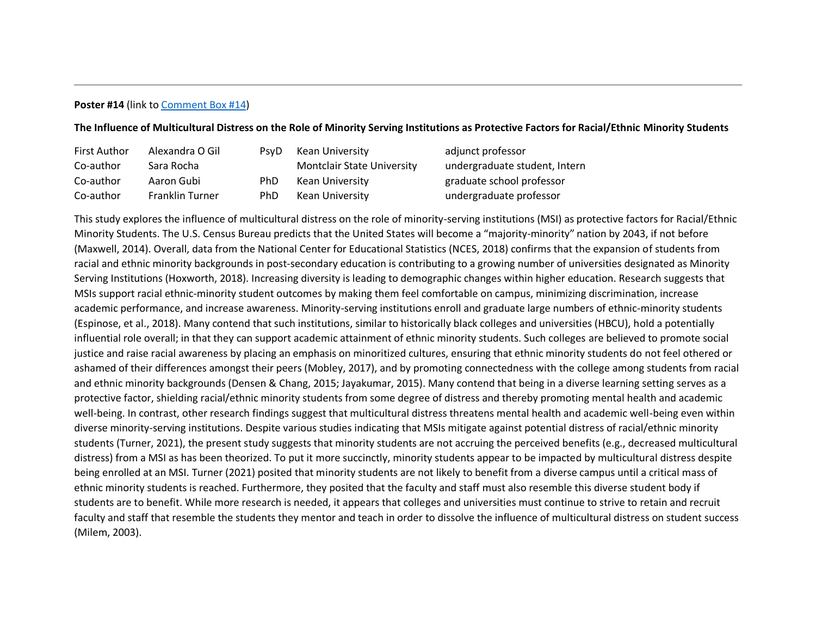# **Poster #14** (link t[o Comment Box #14\)](https://njpa.memberclicks.net/poster-14-comment-box)

# **The Influence of Multicultural Distress on the Role of Minority Serving Institutions as Protective Factors for Racial/Ethnic Minority Students**

| <b>First Author</b> | Alexandra O Gil        | PsvD       | Kean University                   | adjunct professor             |
|---------------------|------------------------|------------|-----------------------------------|-------------------------------|
| Co-author           | Sara Rocha             |            | <b>Montclair State University</b> | undergraduate student, Intern |
| Co-author           | Aaron Gubi             | <b>PhD</b> | Kean University                   | graduate school professor     |
| Co-author           | <b>Franklin Turner</b> | <b>PhD</b> | Kean University                   | undergraduate professor       |

This study explores the influence of multicultural distress on the role of minority-serving institutions (MSI) as protective factors for Racial/Ethnic Minority Students. The U.S. Census Bureau predicts that the United States will become a "majority-minority" nation by 2043, if not before (Maxwell, 2014). Overall, data from the National Center for Educational Statistics (NCES, 2018) confirms that the expansion of students from racial and ethnic minority backgrounds in post-secondary education is contributing to a growing number of universities designated as Minority Serving Institutions (Hoxworth, 2018). Increasing diversity is leading to demographic changes within higher education. Research suggests that MSIs support racial ethnic-minority student outcomes by making them feel comfortable on campus, minimizing discrimination, increase academic performance, and increase awareness. Minority-serving institutions enroll and graduate large numbers of ethnic-minority students (Espinose, et al., 2018). Many contend that such institutions, similar to historically black colleges and universities (HBCU), hold a potentially influential role overall; in that they can support academic attainment of ethnic minority students. Such colleges are believed to promote social justice and raise racial awareness by placing an emphasis on minoritized cultures, ensuring that ethnic minority students do not feel othered or ashamed of their differences amongst their peers (Mobley, 2017), and by promoting connectedness with the college among students from racial and ethnic minority backgrounds (Densen & Chang, 2015; Jayakumar, 2015). Many contend that being in a diverse learning setting serves as a protective factor, shielding racial/ethnic minority students from some degree of distress and thereby promoting mental health and academic well-being. In contrast, other research findings suggest that multicultural distress threatens mental health and academic well-being even within diverse minority-serving institutions. Despite various studies indicating that MSIs mitigate against potential distress of racial/ethnic minority students (Turner, 2021), the present study suggests that minority students are not accruing the perceived benefits (e.g., decreased multicultural distress) from a MSI as has been theorized. To put it more succinctly, minority students appear to be impacted by multicultural distress despite being enrolled at an MSI. Turner (2021) posited that minority students are not likely to benefit from a diverse campus until a critical mass of ethnic minority students is reached. Furthermore, they posited that the faculty and staff must also resemble this diverse student body if students are to benefit. While more research is needed, it appears that colleges and universities must continue to strive to retain and recruit faculty and staff that resemble the students they mentor and teach in order to dissolve the influence of multicultural distress on student success (Milem, 2003).